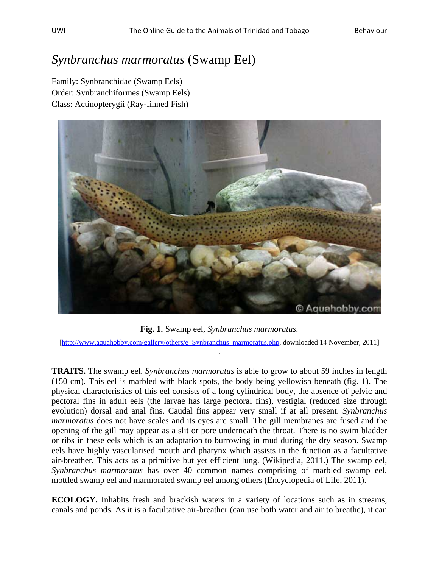## *Synbranchus marmoratus* (Swamp Eel)

Family: Synbranchidae (Swamp Eels) Order: Synbranchiformes (Swamp Eels) Class: Actinopterygii (Ray-finned Fish)



**Fig. 1.** Swamp eel, *Synbranchus marmoratus.*

[\[http://www.aquahobby.com/gallery/others/e\\_Synbranchus\\_marmoratus.php,](http://www.aquahobby.com/gallery/others/e_Synbranchus_marmoratus.php) downloaded 14 November, 2011] .

**TRAITS.** The swamp eel, *Synbranchus marmoratus* is able to grow to about 59 inches in length (150 cm). This eel is marbled with black spots, the body being yellowish beneath (fig. 1). The physical characteristics of this eel consists of a long cylindrical body, the absence of pelvic and pectoral fins in adult eels (the larvae has large pectoral fins), vestigial (reduced size through evolution) dorsal and anal fins. Caudal fins appear very small if at all present. *Synbranchus marmoratus* does not have scales and its eyes are small. The gill membranes are fused and the opening of the gill may appear as a slit or pore underneath the throat. There is no swim bladder or ribs in these eels which is an adaptation to burrowing in mud during the dry season. Swamp eels have highly vascularised mouth and pharynx which assists in the function as a facultative air-breather. This acts as a primitive but yet efficient lung. (Wikipedia, 2011.) The swamp eel, *Synbranchus marmoratus* has over 40 common names comprising of marbled swamp eel, mottled swamp eel and marmorated swamp eel among others (Encyclopedia of Life, 2011).

**ECOLOGY.** Inhabits fresh and brackish waters in a variety of locations such as in streams, canals and ponds. As it is a facultative air-breather (can use both water and air to breathe), it can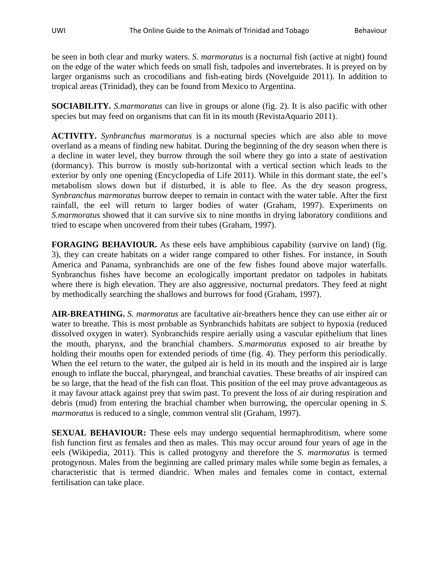be seen in both clear and murky waters. *S. marmoratus* is a nocturnal fish (active at night) found on the edge of the water which feeds on small fish, tadpoles and invertebrates. It is preyed on by larger organisms such as crocodilians and fish-eating birds (Novelguide 2011). In addition to tropical areas (Trinidad), they can be found from Mexico to Argentina.

**SOCIABILITY.** *S.marmoratus* can live in groups or alone (fig. 2). It is also pacific with other species but may feed on organisms that can fit in its mouth (RevistaAquario 2011).

**ACTIVITY.** *Synbranchus marmoratus* is a nocturnal species which are also able to move overland as a means of finding new habitat. During the beginning of the dry season when there is a decline in water level, they burrow through the soil where they go into a state of aestivation (dormancy). This burrow is mostly sub-horizontal with a vertical section which leads to the exterior by only one opening (Encyclopedia of Life 2011). While in this dormant state, the eel's metabolism slows down but if disturbed, it is able to flee. As the dry season progress, *Synbranchus marmoratus* burrow deeper to remain in contact with the water table. After the first rainfall, the eel will return to larger bodies of water (Graham, 1997). Experiments on *S.marmoratus* showed that it can survive six to nine months in drying laboratory conditions and tried to escape when uncovered from their tubes (Graham, 1997).

**FORAGING BEHAVIOUR.** As these eels have amphibious capability (survive on land) (fig. 3), they can create habitats on a wider range compared to other fishes. For instance, in South America and Panama, synbranchids are one of the few fishes found above major waterfalls. Synbranchus fishes have become an ecologically important predator on tadpoles in habitats where there is high elevation. They are also aggressive, nocturnal predators. They feed at night by methodically searching the shallows and burrows for food (Graham, 1997).

**AIR-BREATHING.** *S. marmoratus* are facultative air-breathers hence they can use either air or water to breathe. This is most probable as Synbranchids habitats are subject to hypoxia (reduced dissolved oxygen in water). Synbranchids respire aerially using a vascular epithelium that lines the mouth, pharynx, and the branchial chambers. *S.marmoratus* exposed to air breathe by holding their mouths open for extended periods of time (fig. 4). They perform this periodically. When the eel return to the water, the gulped air is held in its mouth and the inspired air is large enough to inflate the buccal, pharyngeal, and branchial cavaties. These breaths of air inspired can be so large, that the head of the fish can float. This position of the eel may prove advantageous as it may favour attack against prey that swim past. To prevent the loss of air during respiration and debris (mud) from entering the brachial chamber when burrowing, the opercular opening in *S. marmoratus* is reduced to a single, common ventral slit (Graham, 1997).

**SEXUAL BEHAVIOUR:** These eels may undergo sequential hermaphroditism, where some fish function first as females and then as males. This may occur around four years of age in the eels (Wikipedia, 2011). This is called protogyny and therefore the *S. marmoratus* is termed protogynous. Males from the beginning are called primary males while some begin as females, a characteristic that is termed diandric. When males and females come in contact, external fertilisation can take place.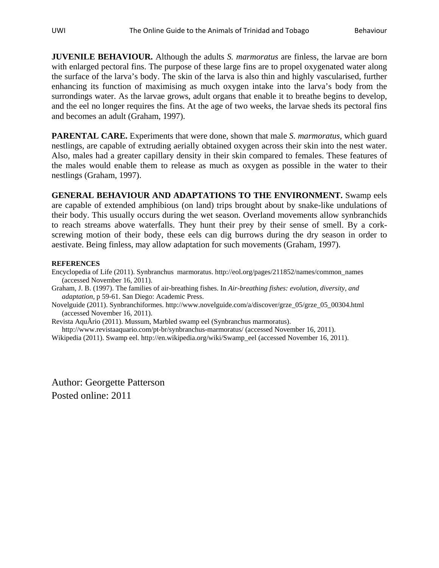**JUVENILE BEHAVIOUR.** Although the adults *S. marmoratus* are finless, the larvae are born with enlarged pectoral fins. The purpose of these large fins are to propel oxygenated water along the surface of the larva's body. The skin of the larva is also thin and highly vascularised, further enhancing its function of maximising as much oxygen intake into the larva's body from the surrondings water. As the larvae grows, adult organs that enable it to breathe begins to develop, and the eel no longer requires the fins. At the age of two weeks, the larvae sheds its pectoral fins and becomes an adult (Graham, 1997).

**PARENTAL CARE.** Experiments that were done, shown that male *S. marmoratus*, which guard nestlings, are capable of extruding aerially obtained oxygen across their skin into the nest water. Also, males had a greater capillary density in their skin compared to females. These features of the males would enable them to release as much as oxygen as possible in the water to their nestlings (Graham, 1997).

**GENERAL BEHAVIOUR AND ADAPTATIONS TO THE ENVIRONMENT.** Swamp eels are capable of extended amphibious (on land) trips brought about by snake-like undulations of their body. This usually occurs during the wet season. Overland movements allow synbranchids to reach streams above waterfalls. They hunt their prey by their sense of smell. By a corkscrewing motion of their body, these eels can dig burrows during the dry season in order to aestivate. Being finless, may allow adaptation for such movements (Graham, 1997).

## **REFERENCES**

Encyclopedia of Life (2011). Synbranchus marmoratus. http://eol.org/pages/211852/names/common\_names (accessed November 16, 2011).

Graham, J. B. (1997). The families of air-breathing fishes. In *Air-breathing fishes: evolution, diversity, and adaptation*, p 59-61. San Diego: Academic Press.

Novelguide (2011). Synbranchiformes. http://www.novelguide.com/a/discover/grze\_05/grze\_05\_00304.html (accessed November 16, 2011).

Revista AquÃrio (2011). Mussum, Marbled swamp eel (Synbranchus marmoratus).

http://www.revistaaquario.com/pt-br/synbranchus-marmoratus/ (accessed November 16, 2011).

Wikipedia (2011). Swamp eel. http://en.wikipedia.org/wiki/Swamp\_eel (accessed November 16, 2011).

Author: Georgette Patterson Posted online: 2011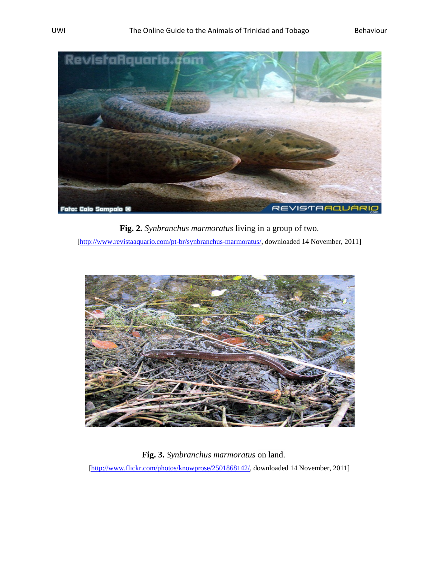

**Fig. 2.** *Synbranchus marmoratus* living in a group of two.

[\[http://www.revistaaquario.com/pt-br/synbranchus-marmoratus/,](http://www.revistaaquario.com/pt-br/synbranchus-marmoratus/) downloaded 14 November, 2011]



 **Fig. 3.** *Synbranchus marmoratus* on land.

[\[http://www.flickr.com/photos/knowprose/2501868142/,](http://www.flickr.com/photos/knowprose/2501868142/) downloaded 14 November, 2011]